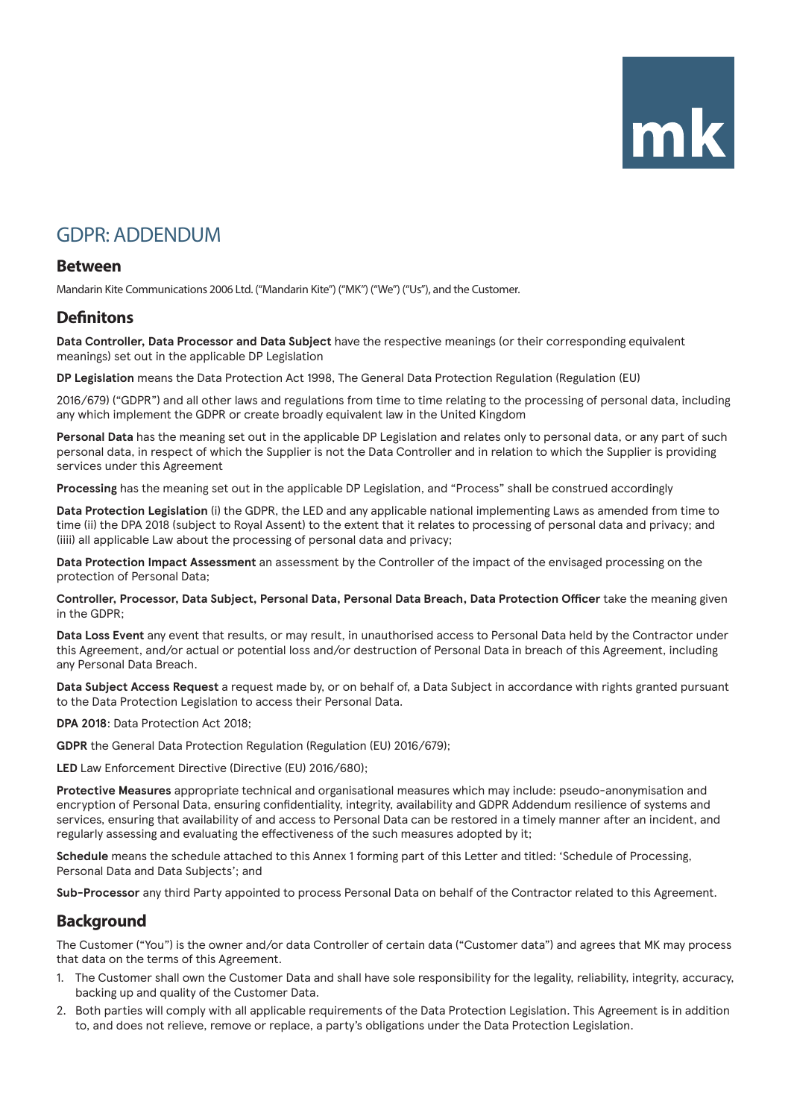# mk

# GDPR: ADDENDUM

#### **Between**

Mandarin Kite Communications 2006 Ltd. ("Mandarin Kite") ("MK") ("We") ("Us"), and the Customer.

### **Definitons**

**Data Controller, Data Processor and Data Subject** have the respective meanings (or their corresponding equivalent meanings) set out in the applicable DP Legislation

**DP Legislation** means the Data Protection Act 1998, The General Data Protection Regulation (Regulation (EU)

2016/679) ("GDPR") and all other laws and regulations from time to time relating to the processing of personal data, including any which implement the GDPR or create broadly equivalent law in the United Kingdom

**Personal Data** has the meaning set out in the applicable DP Legislation and relates only to personal data, or any part of such personal data, in respect of which the Supplier is not the Data Controller and in relation to which the Supplier is providing services under this Agreement

**Processing** has the meaning set out in the applicable DP Legislation, and "Process" shall be construed accordingly

**Data Protection Legislation** (i) the GDPR, the LED and any applicable national implementing Laws as amended from time to time (ii) the DPA 2018 (subject to Royal Assent) to the extent that it relates to processing of personal data and privacy; and (iiii) all applicable Law about the processing of personal data and privacy;

**Data Protection Impact Assessment** an assessment by the Controller of the impact of the envisaged processing on the protection of Personal Data;

**Controller, Processor, Data Subject, Personal Data, Personal Data Breach, Data Protection Officer** take the meaning given in the GDPR;

**Data Loss Event** any event that results, or may result, in unauthorised access to Personal Data held by the Contractor under this Agreement, and/or actual or potential loss and/or destruction of Personal Data in breach of this Agreement, including any Personal Data Breach.

**Data Subject Access Request** a request made by, or on behalf of, a Data Subject in accordance with rights granted pursuant to the Data Protection Legislation to access their Personal Data.

**DPA 2018**: Data Protection Act 2018;

**GDPR** the General Data Protection Regulation (Regulation (EU) 2016/679);

**LED** Law Enforcement Directive (Directive (EU) 2016/680);

**Protective Measures** appropriate technical and organisational measures which may include: pseudo-anonymisation and encryption of Personal Data, ensuring confidentiality, integrity, availability and GDPR Addendum resilience of systems and services, ensuring that availability of and access to Personal Data can be restored in a timely manner after an incident, and regularly assessing and evaluating the effectiveness of the such measures adopted by it;

**Schedule** means the schedule attached to this Annex 1 forming part of this Letter and titled: 'Schedule of Processing, Personal Data and Data Subjects'; and

**Sub-Processor** any third Party appointed to process Personal Data on behalf of the Contractor related to this Agreement.

## **Background**

The Customer ("You") is the owner and/or data Controller of certain data ("Customer data") and agrees that MK may process that data on the terms of this Agreement.

- 1. The Customer shall own the Customer Data and shall have sole responsibility for the legality, reliability, integrity, accuracy, backing up and quality of the Customer Data.
- 2. Both parties will comply with all applicable requirements of the Data Protection Legislation. This Agreement is in addition to, and does not relieve, remove or replace, a party's obligations under the Data Protection Legislation.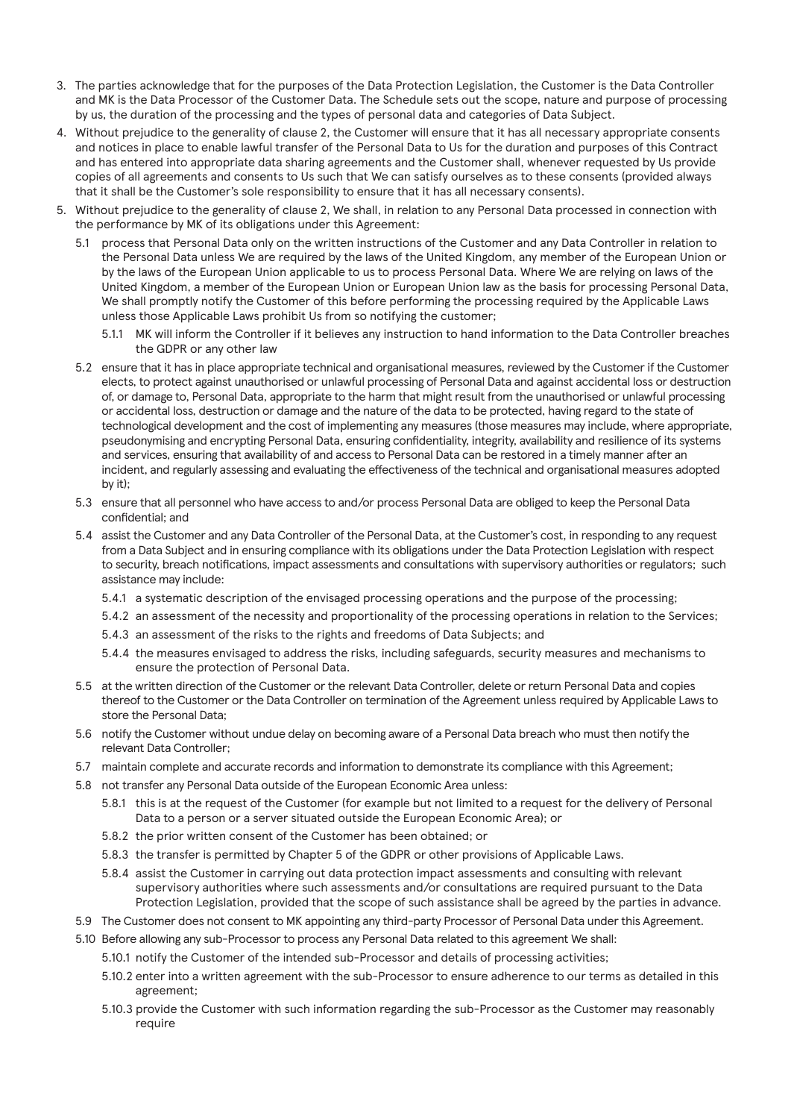- 3. The parties acknowledge that for the purposes of the Data Protection Legislation, the Customer is the Data Controller and MK is the Data Processor of the Customer Data. The Schedule sets out the scope, nature and purpose of processing by us, the duration of the processing and the types of personal data and categories of Data Subject.
- 4. Without prejudice to the generality of clause 2, the Customer will ensure that it has all necessary appropriate consents and notices in place to enable lawful transfer of the Personal Data to Us for the duration and purposes of this Contract and has entered into appropriate data sharing agreements and the Customer shall, whenever requested by Us provide copies of all agreements and consents to Us such that We can satisfy ourselves as to these consents (provided always that it shall be the Customer's sole responsibility to ensure that it has all necessary consents).
- 5. Without prejudice to the generality of clause 2, We shall, in relation to any Personal Data processed in connection with the performance by MK of its obligations under this Agreement:
	- 5.1 process that Personal Data only on the written instructions of the Customer and any Data Controller in relation to the Personal Data unless We are required by the laws of the United Kingdom, any member of the European Union or by the laws of the European Union applicable to us to process Personal Data. Where We are relying on laws of the United Kingdom, a member of the European Union or European Union law as the basis for processing Personal Data, We shall promptly notify the Customer of this before performing the processing required by the Applicable Laws unless those Applicable Laws prohibit Us from so notifying the customer;
		- 5.1.1 MK will inform the Controller if it believes any instruction to hand information to the Data Controller breaches the GDPR or any other law
	- 5.2 ensure that it has in place appropriate technical and organisational measures, reviewed by the Customer if the Customer elects, to protect against unauthorised or unlawful processing of Personal Data and against accidental loss or destruction of, or damage to, Personal Data, appropriate to the harm that might result from the unauthorised or unlawful processing or accidental loss, destruction or damage and the nature of the data to be protected, having regard to the state of technological development and the cost of implementing any measures (those measures may include, where appropriate, pseudonymising and encrypting Personal Data, ensuring confidentiality, integrity, availability and resilience of its systems and services, ensuring that availability of and access to Personal Data can be restored in a timely manner after an incident, and regularly assessing and evaluating the effectiveness of the technical and organisational measures adopted by it);
	- 5.3 ensure that all personnel who have access to and/or process Personal Data are obliged to keep the Personal Data confidential; and
	- 5.4 assist the Customer and any Data Controller of the Personal Data, at the Customer's cost, in responding to any request from a Data Subject and in ensuring compliance with its obligations under the Data Protection Legislation with respect to security, breach notifications, impact assessments and consultations with supervisory authorities or regulators; such assistance may include:
		- 5.4.1 a systematic description of the envisaged processing operations and the purpose of the processing;
		- 5.4.2 an assessment of the necessity and proportionality of the processing operations in relation to the Services;
		- 5.4.3 an assessment of the risks to the rights and freedoms of Data Subjects; and
		- 5.4.4 the measures envisaged to address the risks, including safeguards, security measures and mechanisms to ensure the protection of Personal Data.
	- 5.5 at the written direction of the Customer or the relevant Data Controller, delete or return Personal Data and copies thereof to the Customer or the Data Controller on termination of the Agreement unless required by Applicable Laws to store the Personal Data;
	- 5.6 notify the Customer without undue delay on becoming aware of a Personal Data breach who must then notify the relevant Data Controller;
	- 5.7 maintain complete and accurate records and information to demonstrate its compliance with this Agreement;
	- 5.8 not transfer any Personal Data outside of the European Economic Area unless:
		- 5.8.1 this is at the request of the Customer (for example but not limited to a request for the delivery of Personal Data to a person or a server situated outside the European Economic Area); or
		- 5.8.2 the prior written consent of the Customer has been obtained; or
		- 5.8.3 the transfer is permitted by Chapter 5 of the GDPR or other provisions of Applicable Laws.
		- 5.8.4 assist the Customer in carrying out data protection impact assessments and consulting with relevant supervisory authorities where such assessments and/or consultations are required pursuant to the Data Protection Legislation, provided that the scope of such assistance shall be agreed by the parties in advance.
	- 5.9 The Customer does not consent to MK appointing any third-party Processor of Personal Data under this Agreement.
	- 5.10 Before allowing any sub-Processor to process any Personal Data related to this agreement We shall:
		- 5.10.1 notify the Customer of the intended sub-Processor and details of processing activities;
		- 5.10.2 enter into a written agreement with the sub-Processor to ensure adherence to our terms as detailed in this agreement;
		- 5.10.3 provide the Customer with such information regarding the sub-Processor as the Customer may reasonably require